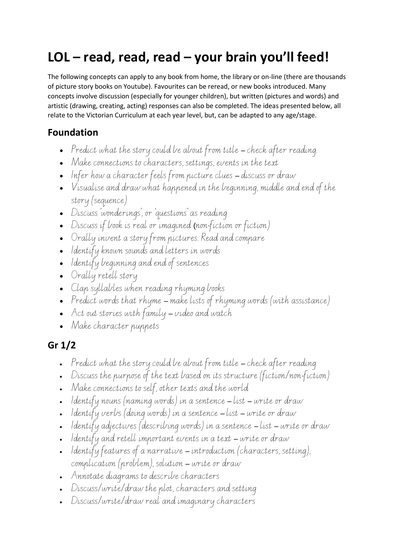# **LOL – read, read, read – your brain you'll feed!**

The following concepts can apply to any book from home, the library or on-line (there are thousands of picture story books on Youtube). Favourites can be reread, or new books introduced. Many concepts involve discussion (especially for younger children), but written (pictures and words) and artistic (drawing, creating, acting) responses can also be completed. The ideas presented below, all relate to the Victorian Curriculum at each year level, but, can be adapted to any age/stage.

#### **Foundation**

- Predict what the story could be about from title check after reading.
- Make connections to characters, settings, events in the text
- Infer how a character feels from picture clues discuss or draw
- Visualise and draw what happened in the beginning, middle and end of the story (sequence)
- Discuss 'wonderings', or 'questions' as reading
- Discuss if book is real or imagined (non-fiction or fiction)
- Orally invent a story from pictures. Read and compare
- Identify known sounds and letters in words
- $\bullet$  Identify beginning and end of sentences
- Orally retell story
- Clap syllables when reading rhyming books
- Predict words that rhyme make lists of rhyming words (with assistance)
- Act out stories with family video and watch
- Make character puppets

### **Gr 1/2**

- Predict what the story could be about from title check after reading
- Discuss the purpose of the text based on its structure (fiction/non-fiction)
- Make connections to self, other texts and the world
- $\bullet$  Identify nouns (naming words) in a sentence list write or draw
- $\bullet$  Identify verbs (doing words) in a sentence list write or draw
- Identify adjectives (describing words) in a sentence list write or draw
- Identify and retell important events in a text write or draw
- Identify features of a narrative introduction (characters, setting), complication (problem), solution – write or draw
- Annotate diagrams to describe characters
- Discuss/write/draw the plot, characters and setting
- Discuss/write/draw real and imaginary characters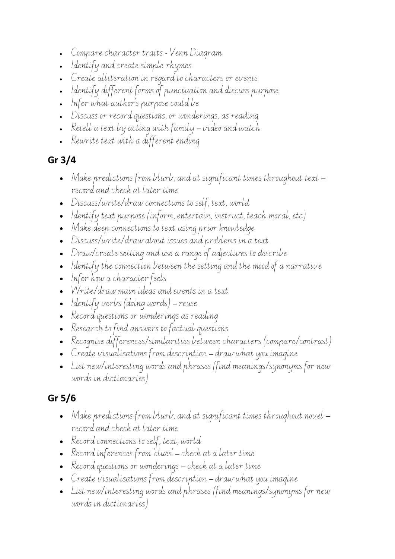- Compare character traits Venn Diagram
- Identify and create simple rhymes
- Create alliteration in regard to characters or events
- Identify different forms of punctuation and discuss purpose
- Infer what author's purpose could be
- Discuss or record questions, or wonderings, as reading
- Retell a text by acting with family video and watch
- Rewrite text with a different ending

## **Gr 3/4**

- Make predictions from blurb, and at significant times throughout text record and check at later time
- Discuss/write/draw connections to self, text, world
- Identify text purpose (inform, entertain, instruct, teach moral, etc)
- Make deep connections to text using prior knowledge
- Discuss/write/draw about issues and problems in a text
- Draw/create setting and use a range of adjectives to describe
- Identify the connection between the setting and the mood of a narrative
- Infer how a character feels
- Write/draw main ideas and events in a text
- Identify verbs (doing words) reuse
- Record questions or wonderings as reading
- Research to find answers to factual questions
- Recognise differences/similarities between characters (compare/contrast)
- Create visualisations from description draw what you imagine
- List new/interesting words and phrases (find meanings/synonyms for new words in dictionaries)

## **Gr 5/6**

- Make predictions from blurb, and at significant times throughout novel record and check at later time
- Record connections to self, text, world
- Record inferences from 'clues' check at a later time
- Record questions or wonderings check at a later time
- Create visualisations from description draw what you imagine
- List new/interesting words and phrases (find meanings/synonyms for new words in dictionaries)